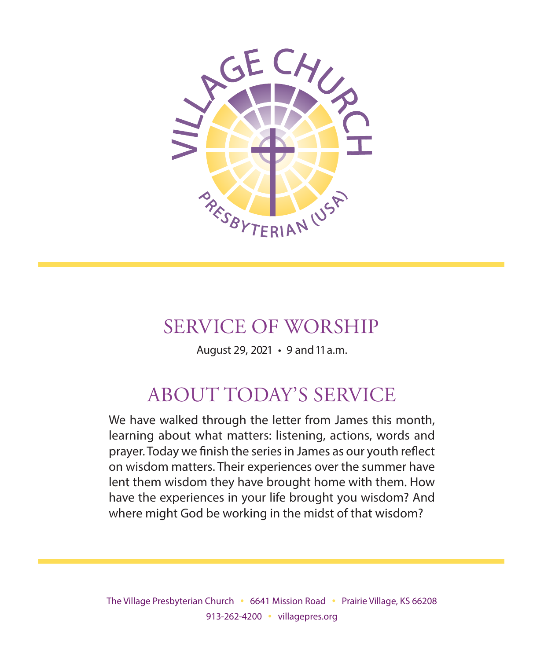

## SERVICE OF WORSHIP

August 29, 2021 • 9 and 11 a.m.

# ABOUT TODAY'S SERVICE

We have walked through the letter from James this month, learning about what matters: listening, actions, words and prayer. Today we finish the series in James as our youth reflect on wisdom matters. Their experiences over the summer have lent them wisdom they have brought home with them. How have the experiences in your life brought you wisdom? And where might God be working in the midst of that wisdom?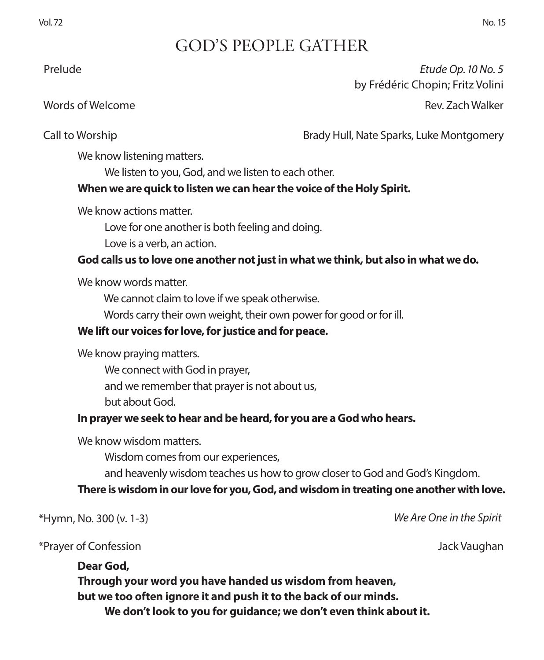## GOD'S PEOPLE GATHER

 Prelude *Etude Op. 10 No. 5* by Frédéric Chopin; Fritz Volini

Words of Welcome Rev. Zach Walker

Call to Worship Brady Hull, Nate Sparks, Luke Montgomery

We know listening matters.

We listen to you, God, and we listen to each other.

#### **When we are quick to listen we can hear the voice of the Holy Spirit.**

We know actions matter.

Love for one another is both feeling and doing.

Love is a verb, an action.

#### **God calls us to love one another not just in what we think, but also in what we do.**

We know words matter.

We cannot claim to love if we speak otherwise.

Words carry their own weight, their own power for good or for ill.

#### **We lift our voices for love, for justice and for peace.**

We know praying matters.

We connect with God in prayer,

and we remember that prayer is not about us,

but about God.

#### **In prayer we seek to hear and be heard, for you are a God who hears.**

We know wisdom matters.

Wisdom comes from our experiences,

and heavenly wisdom teaches us how to grow closer to God and God's Kingdom.

#### **There is wisdom in our love for you, God, and wisdom in treating one another with love.**

\*Hymn, No. 300 (v. 1-3) *We Are One in the Spirit*

\*Prayer of Confession Jack Vaughan

**Dear God, Through your word you have handed us wisdom from heaven, but we too often ignore it and push it to the back of our minds. We don't look to you for guidance; we don't even think about it.**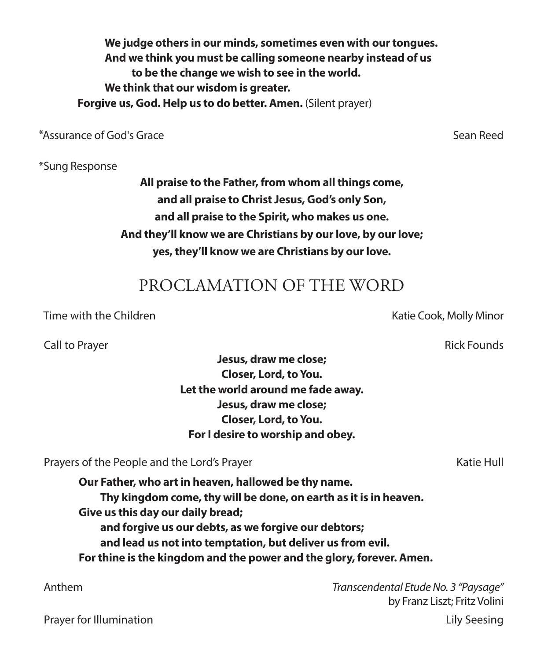**We judge others in our minds, sometimes even with our tongues. And we think you must be calling someone nearby instead of us to be the change we wish to see in the world. We think that our wisdom is greater. Forgive us, God. Help us to do better. Amen.** (Silent prayer)

\*Assurance of God's Grace Sean Reed

\*Sung Response

**All praise to the Father, from whom all things come, and all praise to Christ Jesus, God's only Son, and all praise to the Spirit, who makes us one. And they'll know we are Christians by our love, by our love; yes, they'll know we are Christians by our love.**

## PROCLAMATION OF THE WORD

Time with the Children Katie Cook, Molly Minor

Call to Prayer **Rick Founds Call to Prayer Rick Founds** 

**Jesus, draw me close; Closer, Lord, to You. Let the world around me fade away. Jesus, draw me close; Closer, Lord, to You. For I desire to worship and obey.**

Prayers of the People and the Lord's Prayer Katie Hull and the Lord's Prayer Katie Hull and the Lord's Prayer

**Our Father, who art in heaven, hallowed be thy name. Thy kingdom come, thy will be done, on earth as it is in heaven. Give us this day our daily bread; and forgive us our debts, as we forgive our debtors; and lead us not into temptation, but deliver us from evil. For thine is the kingdom and the power and the glory, forever. Amen.**

 Anthem *Transcendental Etude No. 3 "Paysage"* by Franz Liszt; Fritz Volini **Prayer for Illumination** Lily Seesing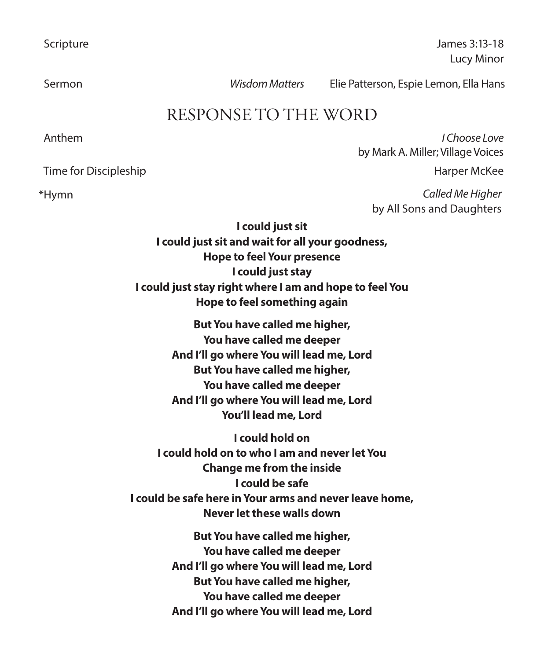Sermon *Wisdom Matters* Elie Patterson, Espie Lemon, Ella Hans

## RESPONSE TO THE WORD

 Anthem *I Choose Love* by Mark A. Miller; Village Voices Time for Discipleship Harper McKee (1999) and the state of the Harper McKee (1999) and the Harper McKee

\*Hymn *Called Me Higher* by All Sons and Daughters

> **I could just sit I could just sit and wait for all your goodness, Hope to feel Your presence I could just stay I could just stay right where I am and hope to feel You Hope to feel something again**

> > **But You have called me higher, You have called me deeper And I'll go where You will lead me, Lord But You have called me higher, You have called me deeper And I'll go where You will lead me, Lord You'll lead me, Lord**

**I could hold on I could hold on to who I am and never let You Change me from the inside I could be safe I could be safe here in Your arms and never leave home, Never let these walls down**

> **But You have called me higher, You have called me deeper And I'll go where You will lead me, Lord But You have called me higher, You have called me deeper And I'll go where You will lead me, Lord**

Scripture James 3:13-18 Lucy Minor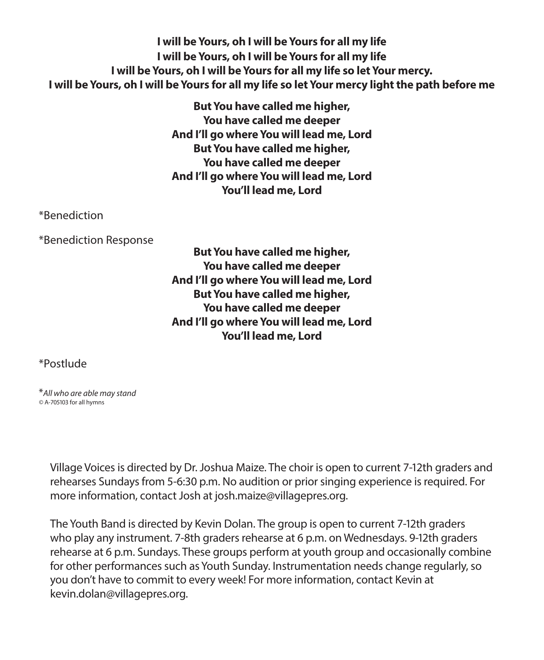**I will be Yours, oh I will be Yours for all my life I will be Yours, oh I will be Yours for all my life I will be Yours, oh I will be Yours for all my life so let Your mercy. I will be Yours, oh I will be Yours for all my life so let Your mercy light the path before me** 

> **But You have called me higher, You have called me deeper And I'll go where You will lead me, Lord But You have called me higher, You have called me deeper And I'll go where You will lead me, Lord You'll lead me, Lord**

\*Benediction

\*Benediction Response

**But You have called me higher, You have called me deeper And I'll go where You will lead me, Lord But You have called me higher, You have called me deeper And I'll go where You will lead me, Lord You'll lead me, Lord** 

\*Postlude

\**All who are able may stand ©* A-705103 for all hymns

Village Voices is directed by Dr. Joshua Maize. The choir is open to current 7-12th graders and rehearses Sundays from 5-6:30 p.m. No audition or prior singing experience is required. For more information, contact Josh at josh.maize@villagepres.org.

The Youth Band is directed by Kevin Dolan. The group is open to current 7-12th graders who play any instrument. 7-8th graders rehearse at 6 p.m. on Wednesdays. 9-12th graders rehearse at 6 p.m. Sundays. These groups perform at youth group and occasionally combine for other performances such as Youth Sunday. Instrumentation needs change regularly, so you don't have to commit to every week! For more information, contact Kevin at kevin.dolan@villagepres.org.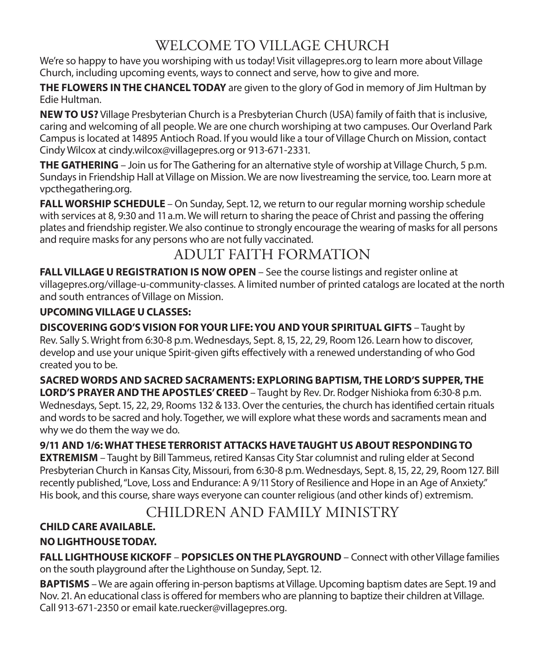## WELCOME TO VILLAGE CHURCH

We're so happy to have you worshiping with us today! Visit villagepres.org to learn more about Village Church, including upcoming events, ways to connect and serve, how to give and more.

**THE FLOWERS IN THE CHANCEL TODAY** are given to the glory of God in memory of Jim Hultman by Edie Hultman.

**NEW TO US?** Village Presbyterian Church is a Presbyterian Church (USA) family of faith that is inclusive, caring and welcoming of all people. We are one church worshiping at two campuses. Our Overland Park Campus is located at 14895 Antioch Road. If you would like a tour of Village Church on Mission, contact Cindy Wilcox at cindy.wilcox@villagepres.org or 913-671-2331.

**THE GATHERING** – Join us for The Gathering for an alternative style of worship at Village Church, 5 p.m. Sundays in Friendship Hall at Village on Mission. We are now livestreaming the service, too. Learn more at vpcthegathering.org.

**FALL WORSHIP SCHEDULE** – On Sunday, Sept. 12, we return to our regular morning worship schedule with services at 8, 9:30 and 11 a.m. We will return to sharing the peace of Christ and passing the offering plates and friendship register. We also continue to strongly encourage the wearing of masks for all persons and require masks for any persons who are not fully vaccinated.

## ADULT FAITH FORMATION

**FALL VILLAGE U REGISTRATION IS NOW OPEN** – See the course listings and register online at villagepres.org/village-u-community-classes. A limited number of printed catalogs are located at the north and south entrances of Village on Mission.

#### **UPCOMING VILLAGE U CLASSES:**

**DISCOVERING GOD'S VISION FOR YOUR LIFE: YOU AND YOUR SPIRITUAL GIFTS** – Taught by Rev. Sally S. Wright from 6:30-8 p.m. Wednesdays, Sept. 8, 15, 22, 29, Room 126. Learn how to discover, develop and use your unique Spirit-given gifts effectively with a renewed understanding of who God created you to be.

**SACRED WORDS AND SACRED SACRAMENTS: EXPLORING BAPTISM, THE LORD'S SUPPER, THE LORD'S PRAYER AND THE APOSTLES' CREED** – Taught by Rev. Dr. Rodger Nishioka from 6:30-8 p.m. Wednesdays, Sept. 15, 22, 29, Rooms 132 & 133. Over the centuries, the church has identified certain rituals and words to be sacred and holy. Together, we will explore what these words and sacraments mean and why we do them the way we do.

**9/11 AND 1/6: WHAT THESE TERRORIST ATTACKS HAVE TAUGHT US ABOUT RESPONDING TO** 

**EXTREMISM** – Taught by Bill Tammeus, retired Kansas City Star columnist and ruling elder at Second Presbyterian Church in Kansas City, Missouri, from 6:30-8 p.m. Wednesdays, Sept. 8, 15, 22, 29, Room 127. Bill recently published, "Love, Loss and Endurance: A 9/11 Story of Resilience and Hope in an Age of Anxiety." His book, and this course, share ways everyone can counter religious (and other kinds of) extremism.

## CHILDREN AND FAMILY MINISTRY

#### **CHILD CARE AVAILABLE.**

#### **NO LIGHTHOUSE TODAY.**

**FALL LIGHTHOUSE KICKOFF** – **POPSICLES ON THE PLAYGROUND** – Connect with other Village families on the south playground after the Lighthouse on Sunday, Sept. 12.

**BAPTISMS** – We are again offering in-person baptisms at Village. Upcoming baptism dates are Sept. 19 and Nov. 21. An educational class is offered for members who are planning to baptize their children at Village. Call 913-671-2350 or email kate.ruecker@villagepres.org.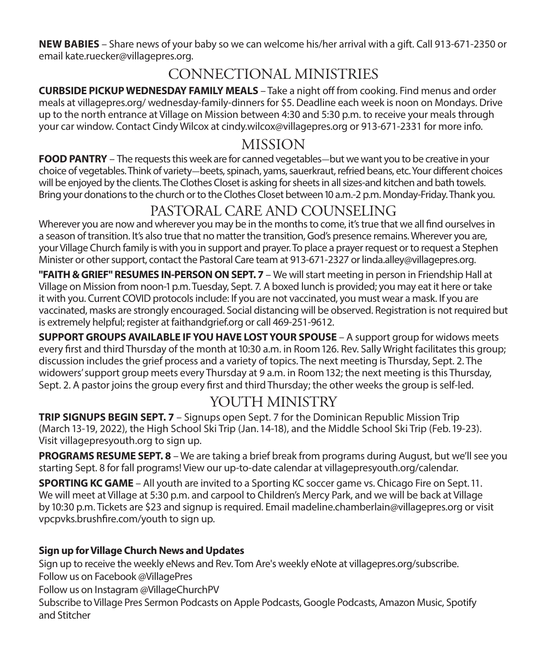**NEW BABIES** – Share news of your baby so we can welcome his/her arrival with a gift. Call 913-671-2350 or email kate.ruecker@villagepres.org.

## CONNECTIONAL MINISTRIES

**CURBSIDE PICKUP WEDNESDAY FAMILY MEALS** – Take a night off from cooking. Find menus and order meals at villagepres.org/ wednesday-family-dinners for \$5. Deadline each week is noon on Mondays. Drive up to the north entrance at Village on Mission between 4:30 and 5:30 p.m. to receive your meals through your car window. Contact Cindy Wilcox at cindy.wilcox@villagepres.org or 913-671-2331 for more info.

### MISSION

**FOOD PANTRY** – The requests this week are for canned vegetables-but we want you to be creative in your choice of vegetables. Think of variety-beets, spinach, yams, sauerkraut, refried beans, etc. Your different choices will be enjoyed by the clients. The Clothes Closet is asking for sheets in all sizes-and kitchen and bath towels. Bring your donations to the church or to the Clothes Closet between 10 a.m.-2 p.m. Monday-Friday. Thank you.

## PASTORAL CARE AND COUNSELING

Wherever you are now and wherever you may be in the months to come, it's true that we all find ourselves in a season of transition. It's also true that no matter the transition, God's presence remains. Wherever you are, your Village Church family is with you in support and prayer. To place a prayer request or to request a Stephen Minister or other support, contact the Pastoral Care team at 913-671-2327 or linda.alley@villagepres.org.

**"FAITH & GRIEF" RESUMES IN-PERSON ON SEPT. 7** – We will start meeting in person in Friendship Hall at Village on Mission from noon-1 p.m. Tuesday, Sept. 7. A boxed lunch is provided; you may eat it here or take it with you. Current COVID protocols include: If you are not vaccinated, you must wear a mask. If you are vaccinated, masks are strongly encouraged. Social distancing will be observed. Registration is not required but is extremely helpful; register at faithandgrief.org or call 469-251-9612.

**SUPPORT GROUPS AVAILABLE IF YOU HAVE LOST YOUR SPOUSE** – A support group for widows meets every first and third Thursday of the month at 10:30 a.m. in Room 126. Rev. Sally Wright facilitates this group; discussion includes the grief process and a variety of topics. The next meeting is Thursday, Sept. 2. The widowers' support group meets every Thursday at 9 a.m. in Room 132; the next meeting is this Thursday, Sept. 2. A pastor joins the group every first and third Thursday; the other weeks the group is self-led.

## YOUTH MINISTRY

**TRIP SIGNUPS BEGIN SEPT. 7** – Signups open Sept. 7 for the Dominican Republic Mission Trip (March 13-19, 2022), the High School Ski Trip (Jan. 14-18), and the Middle School Ski Trip (Feb. 19-23). Visit villagepresyouth.org to sign up.

**PROGRAMS RESUME SEPT. 8** – We are taking a brief break from programs during August, but we'll see you starting Sept. 8 for fall programs! View our up-to-date calendar at villagepresyouth.org/calendar.

**SPORTING KC GAME** – All youth are invited to a Sporting KC soccer game vs. Chicago Fire on Sept. 11. We will meet at Village at 5:30 p.m. and carpool to Children's Mercy Park, and we will be back at Village by 10:30 p.m. Tickets are \$23 and signup is required. Email madeline.chamberlain@villagepres.org or visit vpcpvks.brushfire.com/youth to sign up.

#### **Sign up for Village Church News and Updates**

Sign up to receive the weekly eNews and Rev. Tom Are's weekly eNote at villagepres.org/subscribe. Follow us on Facebook @VillagePres

Follow us on Instagram @VillageChurchPV

Subscribe to Village Pres Sermon Podcasts on Apple Podcasts, Google Podcasts, Amazon Music, Spotify and Stitcher